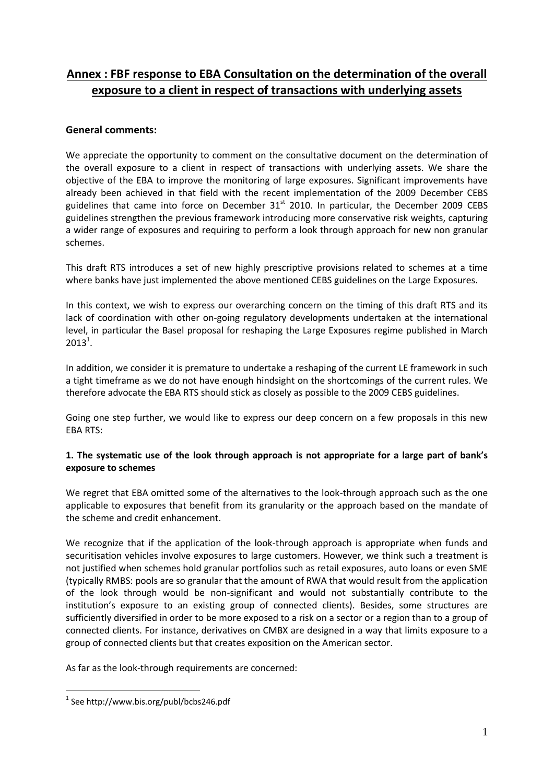# **Annex : FBF response to EBA Consultation on the determination of the overall exposure to a client in respect of transactions with underlying assets**

# **General comments:**

We appreciate the opportunity to comment on the consultative document on the determination of the overall exposure to a client in respect of transactions with underlying assets. We share the objective of the EBA to improve the monitoring of large exposures. Significant improvements have already been achieved in that field with the recent implementation of the 2009 December CEBS guidelines that came into force on December  $31<sup>st</sup>$  2010. In particular, the December 2009 CEBS guidelines strengthen the previous framework introducing more conservative risk weights, capturing a wider range of exposures and requiring to perform a look through approach for new non granular schemes.

This draft RTS introduces a set of new highly prescriptive provisions related to schemes at a time where banks have just implemented the above mentioned CEBS guidelines on the Large Exposures.

In this context, we wish to express our overarching concern on the timing of this draft RTS and its lack of coordination with other on-going regulatory developments undertaken at the international level, in particular the Basel proposal for reshaping the Large Exposures regime published in March  $2013^1$ .

In addition, we consider it is premature to undertake a reshaping of the current LE framework in such a tight timeframe as we do not have enough hindsight on the shortcomings of the current rules. We therefore advocate the EBA RTS should stick as closely as possible to the 2009 CEBS guidelines.

Going one step further, we would like to express our deep concern on a few proposals in this new EBA RTS:

# **1. The systematic use of the look through approach is not appropriate for a large part of bank's exposure to schemes**

We regret that EBA omitted some of the alternatives to the look-through approach such as the one applicable to exposures that benefit from its granularity or the approach based on the mandate of the scheme and credit enhancement.

We recognize that if the application of the look-through approach is appropriate when funds and securitisation vehicles involve exposures to large customers. However, we think such a treatment is not justified when schemes hold granular portfolios such as retail exposures, auto loans or even SME (typically RMBS: pools are so granular that the amount of RWA that would result from the application of the look through would be non-significant and would not substantially contribute to the institution's exposure to an existing group of connected clients). Besides, some structures are sufficiently diversified in order to be more exposed to a risk on a sector or a region than to a group of connected clients. For instance, derivatives on CMBX are designed in a way that limits exposure to a group of connected clients but that creates exposition on the American sector.

As far as the look-through requirements are concerned:

1

<sup>1</sup> See http://www.bis.org/publ/bcbs246.pdf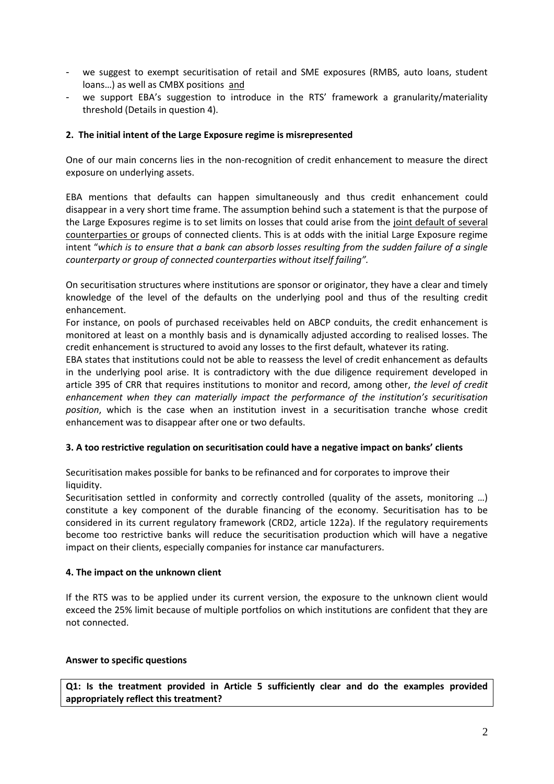- we suggest to exempt securitisation of retail and SME exposures (RMBS, auto loans, student loans…) as well as CMBX positions and
- we support EBA's suggestion to introduce in the RTS' framework a granularity/materiality threshold (Details in question 4).

## **2. The initial intent of the Large Exposure regime is misrepresented**

One of our main concerns lies in the non-recognition of credit enhancement to measure the direct exposure on underlying assets.

EBA mentions that defaults can happen simultaneously and thus credit enhancement could disappear in a very short time frame. The assumption behind such a statement is that the purpose of the Large Exposures regime is to set limits on losses that could arise from the joint default of several counterparties or groups of connected clients. This is at odds with the initial Large Exposure regime intent "*which is to ensure that a bank can absorb losses resulting from the sudden failure of a single counterparty or group of connected counterparties without itself failing".*

On securitisation structures where institutions are sponsor or originator, they have a clear and timely knowledge of the level of the defaults on the underlying pool and thus of the resulting credit enhancement.

For instance, on pools of purchased receivables held on ABCP conduits, the credit enhancement is monitored at least on a monthly basis and is dynamically adjusted according to realised losses. The credit enhancement is structured to avoid any losses to the first default, whatever its rating.

EBA states that institutions could not be able to reassess the level of credit enhancement as defaults in the underlying pool arise. It is contradictory with the due diligence requirement developed in article 395 of CRR that requires institutions to monitor and record, among other, *the level of credit enhancement when they can materially impact the performance of the institution's securitisation position*, which is the case when an institution invest in a securitisation tranche whose credit enhancement was to disappear after one or two defaults.

#### **3. A too restrictive regulation on securitisation could have a negative impact on banks' clients**

Securitisation makes possible for banks to be refinanced and for corporates to improve their liquidity.

Securitisation settled in conformity and correctly controlled (quality of the assets, monitoring ...) constitute a key component of the durable financing of the economy. Securitisation has to be considered in its current regulatory framework (CRD2, article 122a). If the regulatory requirements become too restrictive banks will reduce the securitisation production which will have a negative impact on their clients, especially companies for instance car manufacturers.

#### **4. The impact on the unknown client**

If the RTS was to be applied under its current version, the exposure to the unknown client would exceed the 25% limit because of multiple portfolios on which institutions are confident that they are not connected.

#### **Answer to specific questions**

**Q1: Is the treatment provided in Article 5 sufficiently clear and do the examples provided appropriately reflect this treatment?**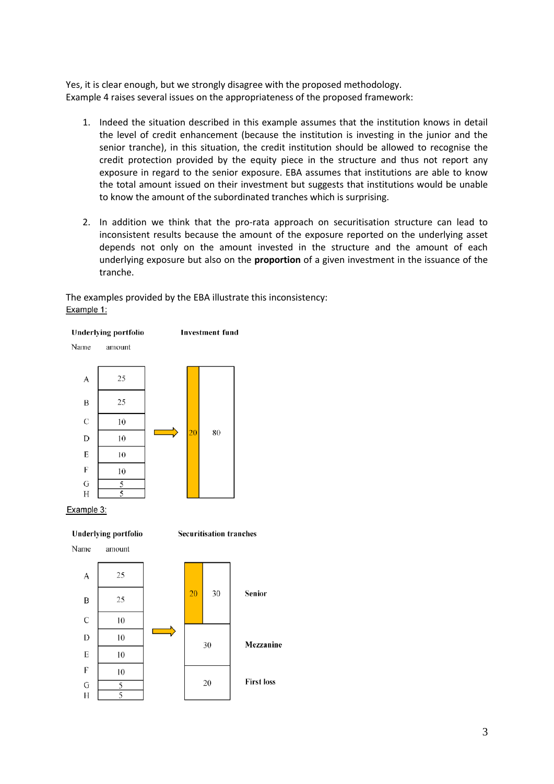Yes, it is clear enough, but we strongly disagree with the proposed methodology. Example 4 raises several issues on the appropriateness of the proposed framework:

- 1. Indeed the situation described in this example assumes that the institution knows in detail the level of credit enhancement (because the institution is investing in the junior and the senior tranche), in this situation, the credit institution should be allowed to recognise the credit protection provided by the equity piece in the structure and thus not report any exposure in regard to the senior exposure. EBA assumes that institutions are able to know the total amount issued on their investment but suggests that institutions would be unable to know the amount of the subordinated tranches which is surprising.
- 2. In addition we think that the pro-rata approach on securitisation structure can lead to inconsistent results because the amount of the exposure reported on the underlying asset depends not only on the amount invested in the structure and the amount of each underlying exposure but also on the **proportion** of a given investment in the issuance of the tranche.

The examples provided by the EBA illustrate this inconsistency:Example 1:



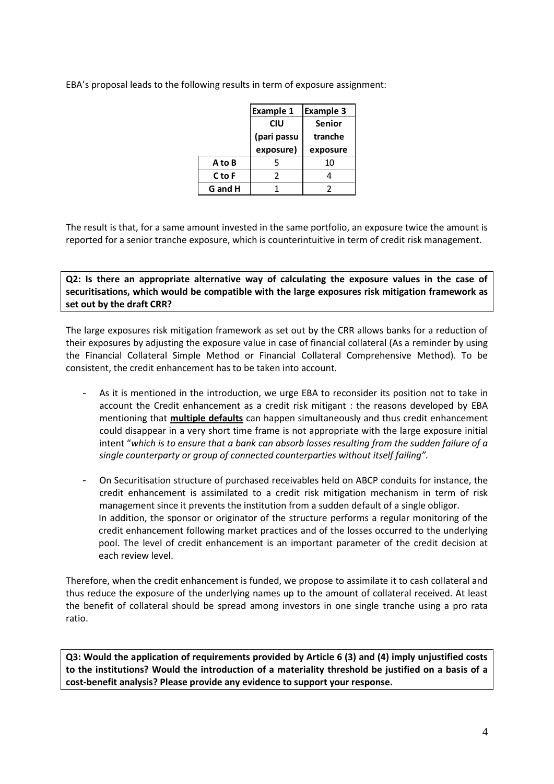EBA's proposal leads to the following results in term of exposure assignment:

|         | <b>Example 1</b>       | <b>Example 3</b> |  |
|---------|------------------------|------------------|--|
|         | CIU                    | <b>Senior</b>    |  |
|         | (pari passu<br>tranche |                  |  |
|         | exposure)              | exposure         |  |
| A to B  | 5                      | 10               |  |
| C to F  | 2                      |                  |  |
| G and H |                        |                  |  |

The result is that, for a same amount invested in the same portfolio, an exposure twice the amount is reported for a senior tranche exposure, which is counterintuitive in term of credit risk management.

**Q2: Is there an appropriate alternative way of calculating the exposure values in the case of securitisations, which would be compatible with the large exposures risk mitigation framework as set out by the draft CRR?**

The large exposures risk mitigation framework as set out by the CRR allows banks for a reduction of their exposures by adjusting the exposure value in case of financial collateral (As a reminder by using the Financial Collateral Simple Method or Financial Collateral Comprehensive Method). To be consistent, the credit enhancement has to be taken into account.

- As it is mentioned in the introduction, we urge EBA to reconsider its position not to take in account the Credit enhancement as a credit risk mitigant : the reasons developed by EBA mentioning that **multiple defaults** can happen simultaneously and thus credit enhancement could disappear in a very short time frame is not appropriate with the large exposure initial intent "*which is to ensure that a bank can absorb losses resulting from the sudden failure of a single counterparty or group of connected counterparties without itself failing".*
- On Securitisation structure of purchased receivables held on ABCP conduits for instance, the credit enhancement is assimilated to a credit risk mitigation mechanism in term of risk management since it prevents the institution from a sudden default of a single obligor. In addition, the sponsor or originator of the structure performs a regular monitoring of the credit enhancement following market practices and of the losses occurred to the underlying pool. The level of credit enhancement is an important parameter of the credit decision at each review level.

Therefore, when the credit enhancement is funded, we propose to assimilate it to cash collateral and thus reduce the exposure of the underlying names up to the amount of collateral received. At least the benefit of collateral should be spread among investors in one single tranche using a pro rata ratio.

**Q3: Would the application of requirements provided by Article 6 (3) and (4) imply unjustified costs to the institutions? Would the introduction of a materiality threshold be justified on a basis of a cost-benefit analysis? Please provide any evidence to support your response.**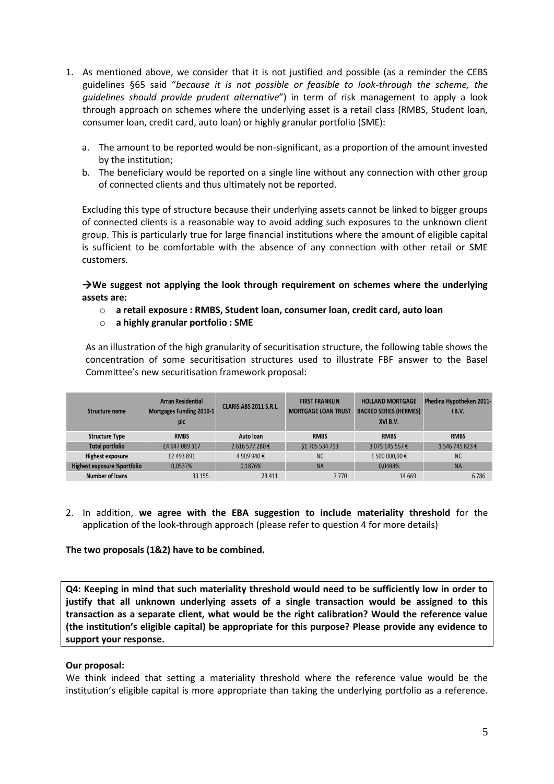- 1. As mentioned above, we consider that it is not justified and possible (as a reminder the CEBS guidelines §65 said "*because it is not possible or feasible to look-through the scheme, the guidelines should provide prudent alternative*") in term of risk management to apply a look through approach on schemes where the underlying asset is a retail class (RMBS, Student loan, consumer loan, credit card, auto loan) or highly granular portfolio (SME):
	- a. The amount to be reported would be non-significant, as a proportion of the amount invested by the institution;
	- b. The beneficiary would be reported on a single line without any connection with other group of connected clients and thus ultimately not be reported.

Excluding this type of structure because their underlying assets cannot be linked to bigger groups of connected clients is a reasonable way to avoid adding such exposures to the unknown client group. This is particularly true for large financial institutions where the amount of eligible capital is sufficient to be comfortable with the absence of any connection with other retail or SME customers.

→ We suggest not applying the look through requirement on schemes where the underlying **assets are:**

- o **a retail exposure : RMBS, Student loan, consumer loan, credit card, auto loan**
- o **a highly granular portfolio : SME**

As an illustration of the high granularity of securitisation structure, the following table shows the concentration of some securitisation structures used to illustrate FBF answer to the Basel Committee's new securitisation framework proposal:

| Structure name              | <b>Arran Residential</b><br>Mortgages Funding 2010-1<br>plc | CLARIS ABS 2011 S.R.L. | <b>FIRST FRANKLIN</b><br><b>MORTGAGE LOAN TRUST</b> | <b>HOLLAND MORTGAGE</b><br><b>BACKED SERIES (HERMES)</b><br>XVI B.V. | Phedina Hypotheken 2011-<br>IB.V. |
|-----------------------------|-------------------------------------------------------------|------------------------|-----------------------------------------------------|----------------------------------------------------------------------|-----------------------------------|
| <b>Structure Type</b>       | <b>RMBS</b>                                                 | Auto Ioan              | <b>RMBS</b>                                         | <b>RMBS</b>                                                          | <b>RMBS</b>                       |
| <b>Total portfolio</b>      | £4 647 089 317                                              | 2616577280€            | \$1 705 534 713                                     | 3 075 145 557€                                                       | 1546745823€                       |
| <b>Highest exposure</b>     | £2 493 891                                                  | 4 909 940 €            | <b>NC</b>                                           | 1 500 000,00 €                                                       | <b>NC</b>                         |
| Highest exposure %portfolio | 0,0537%                                                     | 0.1876%                | <b>NA</b>                                           | 0.0488%                                                              | <b>NA</b>                         |
| <b>Number of loans</b>      | 33 155                                                      | 23 4 11                | 7770                                                | 14 6 69                                                              | 6786                              |

2. In addition, **we agree with the EBA suggestion to include materiality threshold** for the application of the look-through approach (please refer to question 4 for more details)

#### **The two proposals (1&2) have to be combined.**

**Q4: Keeping in mind that such materiality threshold would need to be sufficiently low in order to justify that all unknown underlying assets of a single transaction would be assigned to this transaction as a separate client, what would be the right calibration? Would the reference value (the institution's eligible capital) be appropriate for this purpose? Please provide any evidence to support your response.**

#### **Our proposal:**

We think indeed that setting a materiality threshold where the reference value would be the institution's eligible capital is more appropriate than taking the underlying portfolio as a reference.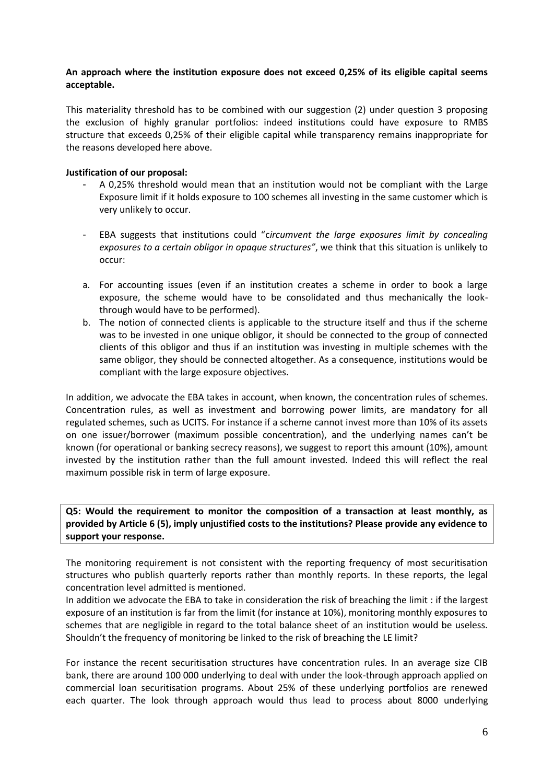## **An approach where the institution exposure does not exceed 0,25% of its eligible capital seems acceptable.**

This materiality threshold has to be combined with our suggestion (2) under question 3 proposing the exclusion of highly granular portfolios: indeed institutions could have exposure to RMBS structure that exceeds 0,25% of their eligible capital while transparency remains inappropriate for the reasons developed here above.

## **Justification of our proposal:**

- A 0,25% threshold would mean that an institution would not be compliant with the Large Exposure limit if it holds exposure to 100 schemes all investing in the same customer which is very unlikely to occur.
- EBA suggests that institutions could "c*ircumvent the large exposures limit by concealing exposures to a certain obligor in opaque structures"*, we think that this situation is unlikely to occur:
- a. For accounting issues (even if an institution creates a scheme in order to book a large exposure, the scheme would have to be consolidated and thus mechanically the lookthrough would have to be performed).
- b. The notion of connected clients is applicable to the structure itself and thus if the scheme was to be invested in one unique obligor, it should be connected to the group of connected clients of this obligor and thus if an institution was investing in multiple schemes with the same obligor, they should be connected altogether. As a consequence, institutions would be compliant with the large exposure objectives.

In addition, we advocate the EBA takes in account, when known, the concentration rules of schemes. Concentration rules, as well as investment and borrowing power limits, are mandatory for all regulated schemes, such as UCITS. For instance if a scheme cannot invest more than 10% of its assets on one issuer/borrower (maximum possible concentration), and the underlying names can't be known (for operational or banking secrecy reasons), we suggest to report this amount (10%), amount invested by the institution rather than the full amount invested. Indeed this will reflect the real maximum possible risk in term of large exposure.

**Q5: Would the requirement to monitor the composition of a transaction at least monthly, as provided by Article 6 (5), imply unjustified costs to the institutions? Please provide any evidence to support your response.**

The monitoring requirement is not consistent with the reporting frequency of most securitisation structures who publish quarterly reports rather than monthly reports. In these reports, the legal concentration level admitted is mentioned.

In addition we advocate the EBA to take in consideration the risk of breaching the limit : if the largest exposure of an institution is far from the limit (for instance at 10%), monitoring monthly exposures to schemes that are negligible in regard to the total balance sheet of an institution would be useless. Shouldn't the frequency of monitoring be linked to the risk of breaching the LE limit?

For instance the recent securitisation structures have concentration rules. In an average size CIB bank, there are around 100 000 underlying to deal with under the look-through approach applied on commercial loan securitisation programs. About 25% of these underlying portfolios are renewed each quarter. The look through approach would thus lead to process about 8000 underlying